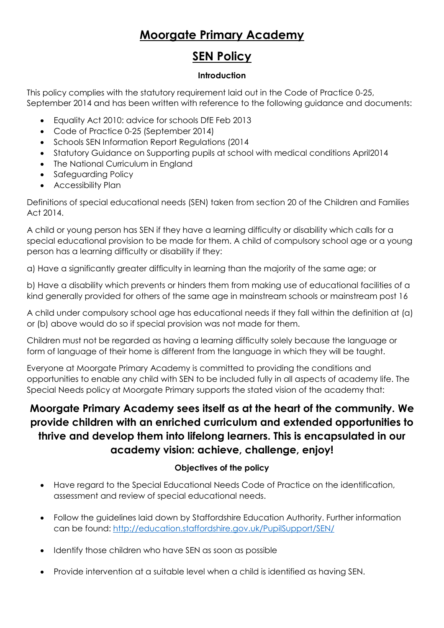# **Moorgate Primary Academy**

## **SEN Policy**

#### **Introduction**

This policy complies with the statutory requirement laid out in the Code of Practice 0-25, September 2014 and has been written with reference to the following guidance and documents:

- Equality Act 2010: advice for schools DfE Feb 2013
- Code of Practice 0-25 (September 2014)
- Schools SEN Information Report Regulations (2014
- Statutory Guidance on Supporting pupils at school with medical conditions April2014
- The National Curriculum in England
- Safeguarding Policy
- Accessibility Plan

Definitions of special educational needs (SEN) taken from section 20 of the Children and Families Act 2014.

A child or young person has SEN if they have a learning difficulty or disability which calls for a special educational provision to be made for them. A child of compulsory school age or a young person has a learning difficulty or disability if they:

a) Have a significantly greater difficulty in learning than the majority of the same age; or

b) Have a disability which prevents or hinders them from making use of educational facilities of a kind generally provided for others of the same age in mainstream schools or mainstream post 16

A child under compulsory school age has educational needs if they fall within the definition at (a) or (b) above would do so if special provision was not made for them.

Children must not be regarded as having a learning difficulty solely because the language or form of language of their home is different from the language in which they will be taught.

Everyone at Moorgate Primary Academy is committed to providing the conditions and opportunities to enable any child with SEN to be included fully in all aspects of academy life. The Special Needs policy at Moorgate Primary supports the stated vision of the academy that:

## **Moorgate Primary Academy sees itself as at the heart of the community. We provide children with an enriched curriculum and extended opportunities to thrive and develop them into lifelong learners. This is encapsulated in our academy vision: achieve, challenge, enjoy!**

## **Objectives of the policy**

- Have regard to the Special Educational Needs Code of Practice on the identification, assessment and review of special educational needs.
- Follow the guidelines laid down by Staffordshire Education Authority. Further information can be found:<http://education.staffordshire.gov.uk/PupilSupport/SEN/>
- Identify those children who have SEN as soon as possible
- Provide intervention at a suitable level when a child is identified as having SEN.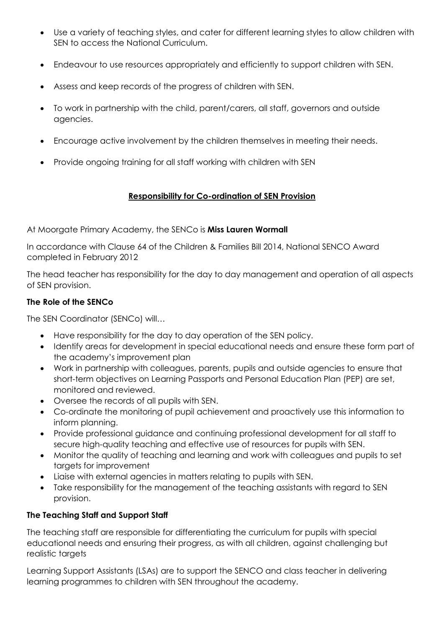- Use a variety of teaching styles, and cater for different learning styles to allow children with SEN to access the National Curriculum.
- Endeavour to use resources appropriately and efficiently to support children with SEN.
- Assess and keep records of the progress of children with SEN.
- To work in partnership with the child, parent/carers, all staff, governors and outside agencies.
- Encourage active involvement by the children themselves in meeting their needs.
- Provide ongoing training for all staff working with children with SEN

## **Responsibility for Co-ordination of SEN Provision**

At Moorgate Primary Academy, the SENCo is **Miss Lauren Wormall**

In accordance with Clause 64 of the Children & Families Bill 2014, National SENCO Award completed in February 2012

The head teacher has responsibility for the day to day management and operation of all aspects of SEN provision.

## **The Role of the SENCo**

The SEN Coordinator (SENCo) will…

- Have responsibility for the day to day operation of the SEN policy.
- Identify areas for development in special educational needs and ensure these form part of the academy's improvement plan
- Work in partnership with colleagues, parents, pupils and outside agencies to ensure that short-term objectives on Learning Passports and Personal Education Plan (PEP) are set, monitored and reviewed.
- Oversee the records of all pupils with SEN.
- Co-ordinate the monitoring of pupil achievement and proactively use this information to inform planning.
- Provide professional guidance and continuing professional development for all staff to secure high-quality teaching and effective use of resources for pupils with SEN.
- Monitor the quality of teaching and learning and work with colleagues and pupils to set targets for improvement
- Liaise with external agencies in matters relating to pupils with SEN.
- Take responsibility for the management of the teaching assistants with regard to SEN provision.

## **The Teaching Staff and Support Staff**

The teaching staff are responsible for differentiating the curriculum for pupils with special educational needs and ensuring their progress, as with all children, against challenging but realistic targets

Learning Support Assistants (LSAs) are to support the SENCO and class teacher in delivering learning programmes to children with SEN throughout the academy.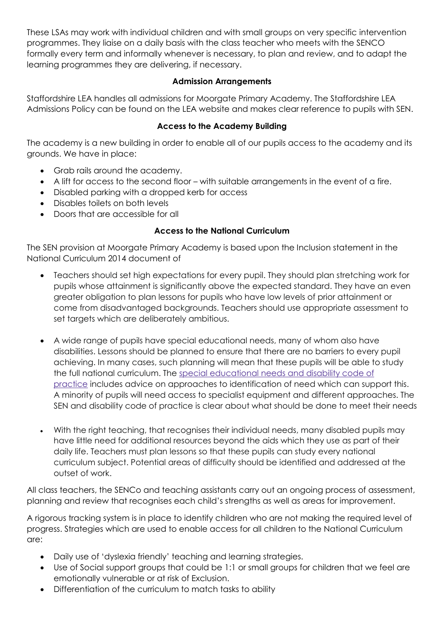These LSAs may work with individual children and with small groups on very specific intervention programmes. They liaise on a daily basis with the class teacher who meets with the SENCO formally every term and informally whenever is necessary, to plan and review, and to adapt the learning programmes they are delivering, if necessary.

#### **Admission Arrangements**

Staffordshire LEA handles all admissions for Moorgate Primary Academy. The Staffordshire LEA Admissions Policy can be found on the LEA website and makes clear reference to pupils with SEN.

#### **Access to the Academy Building**

The academy is a new building in order to enable all of our pupils access to the academy and its grounds. We have in place:

- Grab rails around the academy.
- A lift for access to the second floor with suitable arrangements in the event of a fire.
- Disabled parking with a dropped kerb for access
- Disables toilets on both levels
- Doors that are accessible for all

#### **Access to the National Curriculum**

The SEN provision at Moorgate Primary Academy is based upon the Inclusion statement in the National Curriculum 2014 document of

- Teachers should set high expectations for every pupil. They should plan stretching work for pupils whose attainment is significantly above the expected standard. They have an even greater obligation to plan lessons for pupils who have low levels of prior attainment or come from disadvantaged backgrounds. Teachers should use appropriate assessment to set targets which are deliberately ambitious.
- A wide range of pupils have special educational needs, many of whom also have disabilities. Lessons should be planned to ensure that there are no barriers to every pupil achieving. In many cases, such planning will mean that these pupils will be able to study the full national curriculum. The special [educational](https://www.gov.uk/government/publications/send-code-of-practice-0-to-25) needs and disability code of [practice](https://www.gov.uk/government/publications/send-code-of-practice-0-to-25) includes advice on approaches to identification of need which can support this. A minority of pupils will need access to specialist equipment and different approaches. The SEN and disability code of practice is clear about what should be done to meet their needs
- With the right teaching, that recognises their individual needs, many disabled pupils may have little need for additional resources beyond the aids which they use as part of their daily life. Teachers must plan lessons so that these pupils can study every national curriculum subject. Potential areas of difficulty should be identified and addressed at the outset of work.

All class teachers, the SENCo and teaching assistants carry out an ongoing process of assessment, planning and review that recognises each child's strengths as well as areas for improvement.

A rigorous tracking system is in place to identify children who are not making the required level of progress. Strategies which are used to enable access for all children to the National Curriculum are:

- Daily use of 'dyslexia friendly' teaching and learning strategies.
- Use of Social support groups that could be 1:1 or small groups for children that we feel are emotionally vulnerable or at risk of Exclusion.
- Differentiation of the curriculum to match tasks to ability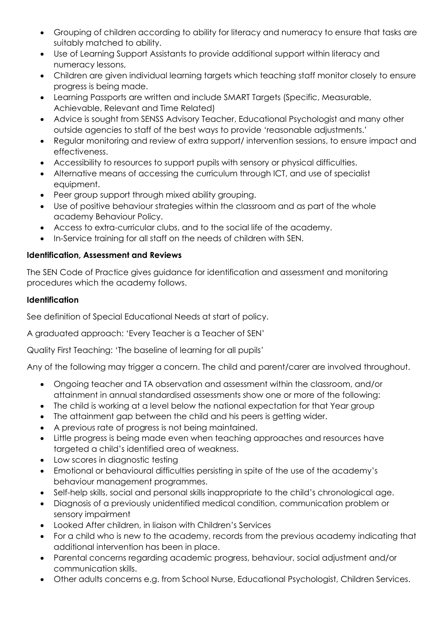- Grouping of children according to ability for literacy and numeracy to ensure that tasks are suitably matched to ability.
- Use of Learning Support Assistants to provide additional support within literacy and numeracy lessons,
- Children are given individual learning targets which teaching staff monitor closely to ensure progress is being made.
- Learning Passports are written and include SMART Targets (Specific, Measurable, Achievable, Relevant and Time Related)
- Advice is sought from SENSS Advisory Teacher, Educational Psychologist and many other outside agencies to staff of the best ways to provide 'reasonable adjustments.'
- Regular monitoring and review of extra support/ intervention sessions, to ensure impact and effectiveness.
- Accessibility to resources to support pupils with sensory or physical difficulties.
- Alternative means of accessing the curriculum through ICT, and use of specialist equipment.
- Peer group support through mixed ability grouping.
- Use of positive behaviour strategies within the classroom and as part of the whole academy Behaviour Policy.
- Access to extra-curricular clubs, and to the social life of the academy.
- In-Service training for all staff on the needs of children with SEN.

## **Identification, Assessment and Reviews**

The SEN Code of Practice gives guidance for identification and assessment and monitoring procedures which the academy follows.

## **Identification**

See definition of Special Educational Needs at start of policy.

A graduated approach: 'Every Teacher is a Teacher of SEN'

Quality First Teaching: 'The baseline of learning for all pupils'

Any of the following may trigger a concern. The child and parent/carer are involved throughout.

- Ongoing teacher and TA observation and assessment within the classroom, and/or attainment in annual standardised assessments show one or more of the following:
- The child is working at a level below the national expectation for that Year group
- The attainment gap between the child and his peers is getting wider.
- A previous rate of progress is not being maintained.
- Little progress is being made even when teaching approaches and resources have targeted a child's identified area of weakness.
- Low scores in diagnostic testing
- Emotional or behavioural difficulties persisting in spite of the use of the academy's behaviour management programmes.
- Self-help skills, social and personal skills inappropriate to the child's chronological age.
- Diagnosis of a previously unidentified medical condition, communication problem or sensory impairment
- Looked After children, in liaison with Children's Services
- For a child who is new to the academy, records from the previous academy indicating that additional intervention has been in place.
- Parental concerns regarding academic progress, behaviour, social adjustment and/or communication skills.
- Other adults concerns e.g. from School Nurse, Educational Psychologist, Children Services.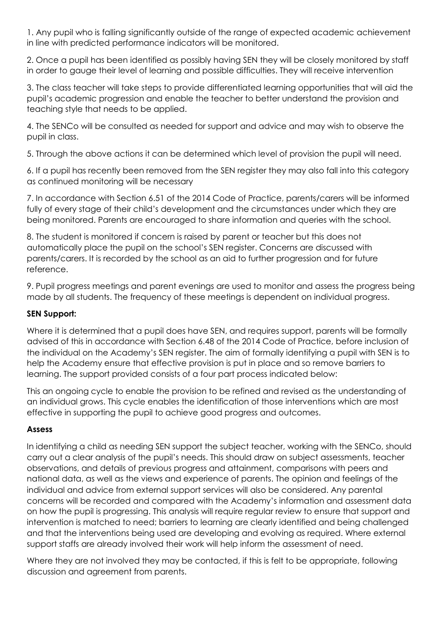1. Any pupil who is falling significantly outside of the range of expected academic achievement in line with predicted performance indicators will be monitored.

2. Once a pupil has been identified as possibly having SEN they will be closely monitored by staff in order to gauge their level of learning and possible difficulties. They will receive intervention

3. The class teacher will take steps to provide differentiated learning opportunities that will aid the pupil's academic progression and enable the teacher to better understand the provision and teaching style that needs to be applied.

4. The SENCo will be consulted as needed for support and advice and may wish to observe the pupil in class.

5. Through the above actions it can be determined which level of provision the pupil will need.

6. If a pupil has recently been removed from the SEN register they may also fall into this category as continued monitoring will be necessary

7. In accordance with Section 6.51 of the 2014 Code of Practice, parents/carers will be informed fully of every stage of their child's development and the circumstances under which they are being monitored. Parents are encouraged to share information and queries with the school.

8. The student is monitored if concern is raised by parent or teacher but this does not automatically place the pupil on the school's SEN register. Concerns are discussed with parents/carers. It is recorded by the school as an aid to further progression and for future reference.

9. Pupil progress meetings and parent evenings are used to monitor and assess the progress being made by all students. The frequency of these meetings is dependent on individual progress.

## **SEN Support:**

Where it is determined that a pupil does have SEN, and requires support, parents will be formally advised of this in accordance with Section 6.48 of the 2014 Code of Practice, before inclusion of the individual on the Academy's SEN register. The aim of formally identifying a pupil with SEN is to help the Academy ensure that effective provision is put in place and so remove barriers to learning. The support provided consists of a four part process indicated below:

This an ongoing cycle to enable the provision to be refined and revised as the understanding of an individual grows. This cycle enables the identification of those interventions which are most effective in supporting the pupil to achieve good progress and outcomes.

## **Assess**

In identifying a child as needing SEN support the subject teacher, working with the SENCo, should carry out a clear analysis of the pupil's needs. This should draw on subject assessments, teacher observations, and details of previous progress and attainment, comparisons with peers and national data, as well as the views and experience of parents. The opinion and feelings of the individual and advice from external support services will also be considered. Any parental concerns will be recorded and compared with the Academy's information and assessment data on how the pupil is progressing. This analysis will require regular review to ensure that support and intervention is matched to need; barriers to learning are clearly identified and being challenged and that the interventions being used are developing and evolving as required. Where external support staffs are already involved their work will help inform the assessment of need.

Where they are not involved they may be contacted, if this is felt to be appropriate, following discussion and agreement from parents.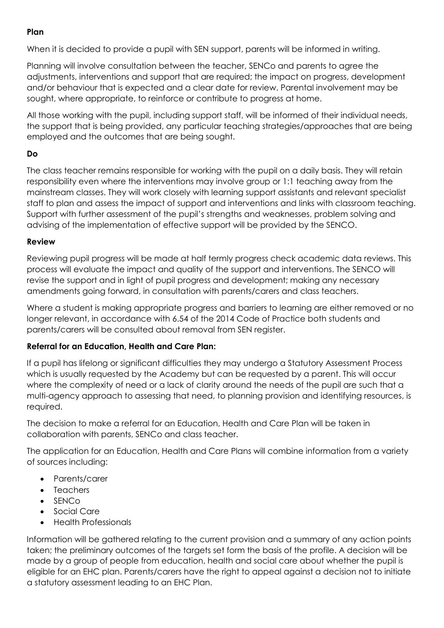#### **Plan**

When it is decided to provide a pupil with SEN support, parents will be informed in writing.

Planning will involve consultation between the teacher, SENCo and parents to agree the adjustments, interventions and support that are required; the impact on progress, development and/or behaviour that is expected and a clear date for review. Parental involvement may be sought, where appropriate, to reinforce or contribute to progress at home.

All those working with the pupil, including support staff, will be informed of their individual needs, the support that is being provided, any particular teaching strategies/approaches that are being employed and the outcomes that are being sought.

## **Do**

The class teacher remains responsible for working with the pupil on a daily basis. They will retain responsibility even where the interventions may involve group or 1:1 teaching away from the mainstream classes. They will work closely with learning support assistants and relevant specialist staff to plan and assess the impact of support and interventions and links with classroom teaching. Support with further assessment of the pupil's strengths and weaknesses, problem solving and advising of the implementation of effective support will be provided by the SENCO.

#### **Review**

Reviewing pupil progress will be made at half termly progress check academic data reviews. This process will evaluate the impact and quality of the support and interventions. The SENCO will revise the support and in light of pupil progress and development; making any necessary amendments going forward, in consultation with parents/carers and class teachers.

Where a student is making appropriate progress and barriers to learning are either removed or no longer relevant, in accordance with 6.54 of the 2014 Code of Practice both students and parents/carers will be consulted about removal from SEN register.

## **Referral for an Education, Health and Care Plan:**

If a pupil has lifelong or significant difficulties they may undergo a Statutory Assessment Process which is usually requested by the Academy but can be requested by a parent. This will occur where the complexity of need or a lack of clarity around the needs of the pupil are such that a multi-agency approach to assessing that need, to planning provision and identifying resources, is required.

The decision to make a referral for an Education, Health and Care Plan will be taken in collaboration with parents, SENCo and class teacher.

The application for an Education, Health and Care Plans will combine information from a variety of sources including:

- Parents/carer
- Teachers
- SENCo
- Social Care
- Health Professionals

Information will be gathered relating to the current provision and a summary of any action points taken; the preliminary outcomes of the targets set form the basis of the profile. A decision will be made by a group of people from education, health and social care about whether the pupil is eligible for an EHC plan. Parents/carers have the right to appeal against a decision not to initiate a statutory assessment leading to an EHC Plan.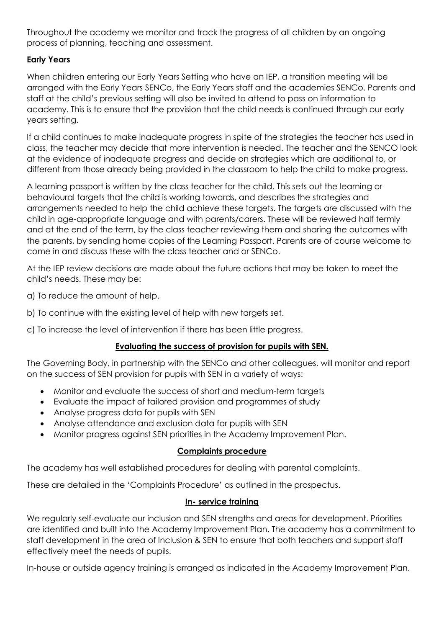Throughout the academy we monitor and track the progress of all children by an ongoing process of planning, teaching and assessment.

## **Early Years**

When children entering our Early Years Setting who have an IEP, a transition meeting will be arranged with the Early Years SENCo, the Early Years staff and the academies SENCo. Parents and staff at the child's previous setting will also be invited to attend to pass on information to academy. This is to ensure that the provision that the child needs is continued through our early years setting.

If a child continues to make inadequate progress in spite of the strategies the teacher has used in class, the teacher may decide that more intervention is needed. The teacher and the SENCO look at the evidence of inadequate progress and decide on strategies which are additional to, or different from those already being provided in the classroom to help the child to make progress.

A learning passport is written by the class teacher for the child. This sets out the learning or behavioural targets that the child is working towards, and describes the strategies and arrangements needed to help the child achieve these targets. The targets are discussed with the child in age-appropriate language and with parents/carers. These will be reviewed half termly and at the end of the term, by the class teacher reviewing them and sharing the outcomes with the parents, by sending home copies of the Learning Passport. Parents are of course welcome to come in and discuss these with the class teacher and or SENCo.

At the IEP review decisions are made about the future actions that may be taken to meet the child's needs. These may be:

- a) To reduce the amount of help.
- b) To continue with the existing level of help with new targets set.
- c) To increase the level of intervention if there has been little progress.

## **Evaluating the success of provision for pupils with SEN.**

The Governing Body, in partnership with the SENCo and other colleagues, will monitor and report on the success of SEN provision for pupils with SEN in a variety of ways:

- Monitor and evaluate the success of short and medium-term targets
- Evaluate the impact of tailored provision and programmes of study
- Analyse progress data for pupils with SEN
- Analyse attendance and exclusion data for pupils with SEN
- Monitor progress against SEN priorities in the Academy Improvement Plan.

#### **Complaints procedure**

The academy has well established procedures for dealing with parental complaints.

These are detailed in the 'Complaints Procedure' as outlined in the prospectus.

#### **In- service training**

We regularly self-evaluate our inclusion and SEN strengths and areas for development. Priorities are identified and built into the Academy Improvement Plan. The academy has a commitment to staff development in the area of Inclusion & SEN to ensure that both teachers and support staff effectively meet the needs of pupils.

In-house or outside agency training is arranged as indicated in the Academy Improvement Plan.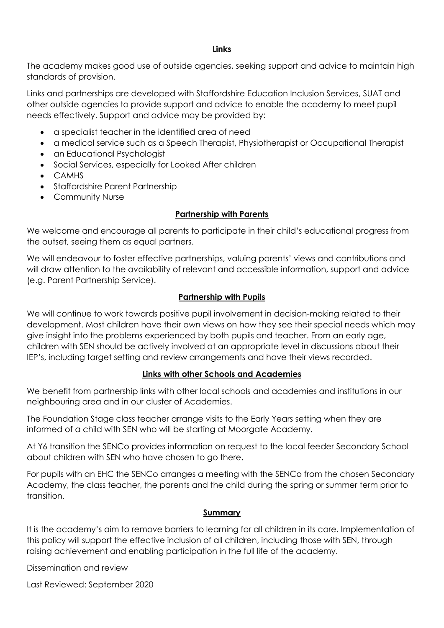#### **Links**

The academy makes good use of outside agencies, seeking support and advice to maintain high standards of provision.

Links and partnerships are developed with Staffordshire Education Inclusion Services, SUAT and other outside agencies to provide support and advice to enable the academy to meet pupil needs effectively. Support and advice may be provided by:

- a specialist teacher in the identified area of need
- a medical service such as a Speech Therapist, Physiotherapist or Occupational Therapist
- an Educational Psychologist
- Social Services, especially for Looked After children
- CAMHS
- Staffordshire Parent Partnership
- Community Nurse

#### **Partnership with Parents**

We welcome and encourage all parents to participate in their child's educational progress from the outset, seeing them as equal partners.

We will endeavour to foster effective partnerships, valuing parents' views and contributions and will draw attention to the availability of relevant and accessible information, support and advice (e.g. Parent Partnership Service).

#### **Partnership with Pupils**

We will continue to work towards positive pupil involvement in decision-making related to their development. Most children have their own views on how they see their special needs which may give insight into the problems experienced by both pupils and teacher. From an early age, children with SEN should be actively involved at an appropriate level in discussions about their IEP's, including target setting and review arrangements and have their views recorded.

#### **Links with other Schools and Academies**

We benefit from partnership links with other local schools and academies and institutions in our neighbouring area and in our cluster of Academies.

The Foundation Stage class teacher arrange visits to the Early Years setting when they are informed of a child with SEN who will be starting at Moorgate Academy.

At Y6 transition the SENCo provides information on request to the local feeder Secondary School about children with SEN who have chosen to go there.

For pupils with an EHC the SENCo arranges a meeting with the SENCo from the chosen Secondary Academy, the class teacher, the parents and the child during the spring or summer term prior to transition.

#### **Summary**

It is the academy's aim to remove barriers to learning for all children in its care. Implementation of this policy will support the effective inclusion of all children, including those with SEN, through raising achievement and enabling participation in the full life of the academy.

Dissemination and review

Last Reviewed: September 2020